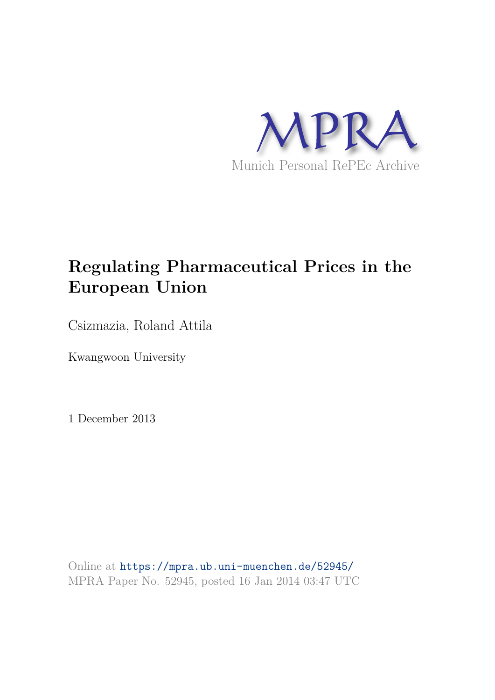

# **Regulating Pharmaceutical Prices in the European Union**

Csizmazia, Roland Attila

Kwangwoon University

1 December 2013

Online at https://mpra.ub.uni-muenchen.de/52945/ MPRA Paper No. 52945, posted 16 Jan 2014 03:47 UTC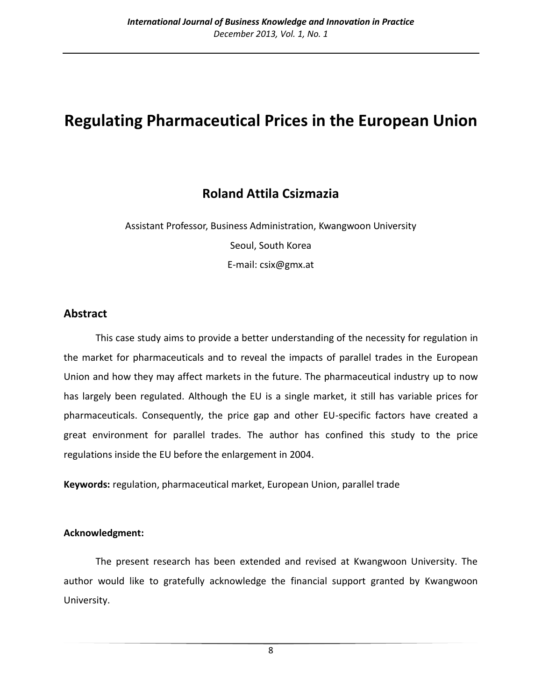# **Regulating Pharmaceutical Prices in the European Union**

# **Roland Attila Csizmazia**

Assistant Professor, Business Administration, Kwangwoon University Seoul, South Korea E-mail: csix@gmx.at

# **Abstract**

This case study aims to provide a better understanding of the necessity for regulation in the market for pharmaceuticals and to reveal the impacts of parallel trades in the European Union and how they may affect markets in the future. The pharmaceutical industry up to now has largely been regulated. Although the EU is a single market, it still has variable prices for pharmaceuticals. Consequently, the price gap and other EU-specific factors have created a great environment for parallel trades. The author has confined this study to the price regulations inside the EU before the enlargement in 2004.

**Keywords:** regulation, pharmaceutical market, European Union, parallel trade

### **Acknowledgment:**

The present research has been extended and revised at Kwangwoon University. The author would like to gratefully acknowledge the financial support granted by Kwangwoon University.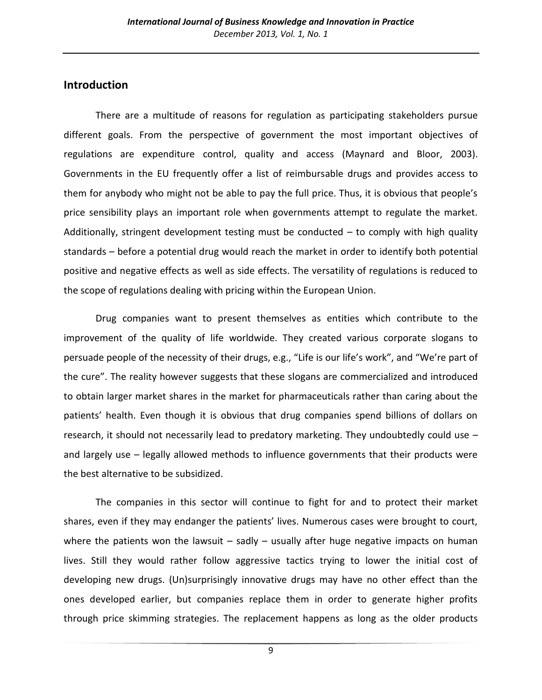# **Introduction**

 There are a multitude of reasons for regulation as participating stakeholders pursue different goals. From the perspective of government the most important objectives of regulations are expenditure control, quality and access (Maynard and Bloor, 2003). Governments in the EU frequently offer a list of reimbursable drugs and provides access to them for anybody who might not be able to pay the full price. Thus, it is obvious that people's price sensibility plays an important role when governments attempt to regulate the market. Additionally, stringent development testing must be conducted – to comply with high quality standards – before a potential drug would reach the market in order to identify both potential positive and negative effects as well as side effects. The versatility of regulations is reduced to the scope of regulations dealing with pricing within the European Union.

 Drug companies want to present themselves as entities which contribute to the improvement of the quality of life worldwide. They created various corporate slogans to persuade people of the necessity of their drugs, e.g., "Life is our life's work", and "We're part of the cure". The reality however suggests that these slogans are commercialized and introduced to obtain larger market shares in the market for pharmaceuticals rather than caring about the patients' health. Even though it is obvious that drug companies spend billions of dollars on research, it should not necessarily lead to predatory marketing. They undoubtedly could use – and largely use – legally allowed methods to influence governments that their products were the best alternative to be subsidized.

 The companies in this sector will continue to fight for and to protect their market shares, even if they may endanger the patients' lives. Numerous cases were brought to court, where the patients won the lawsuit  $-$  sadly  $-$  usually after huge negative impacts on human lives. Still they would rather follow aggressive tactics trying to lower the initial cost of developing new drugs. (Un)surprisingly innovative drugs may have no other effect than the ones developed earlier, but companies replace them in order to generate higher profits through price skimming strategies. The replacement happens as long as the older products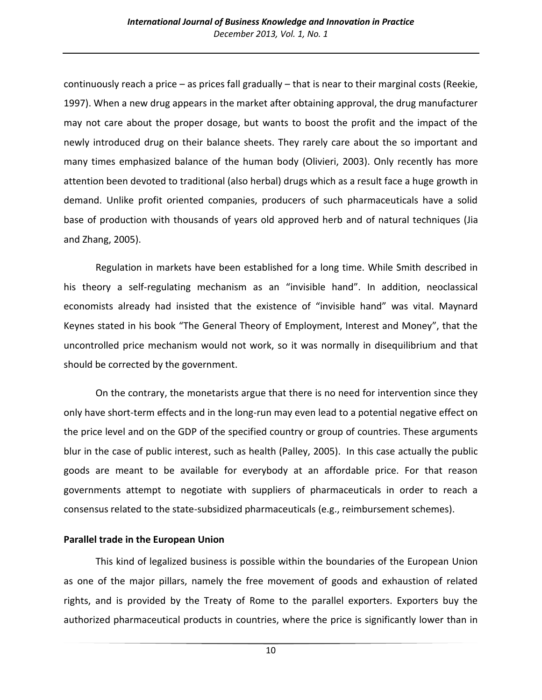continuously reach a price – as prices fall gradually – that is near to their marginal costs (Reekie, 1997). When a new drug appears in the market after obtaining approval, the drug manufacturer may not care about the proper dosage, but wants to boost the profit and the impact of the newly introduced drug on their balance sheets. They rarely care about the so important and many times emphasized balance of the human body (Olivieri, 2003). Only recently has more attention been devoted to traditional (also herbal) drugs which as a result face a huge growth in demand. Unlike profit oriented companies, producers of such pharmaceuticals have a solid base of production with thousands of years old approved herb and of natural techniques (Jia and Zhang, 2005).

 Regulation in markets have been established for a long time. While Smith described in his theory a self-regulating mechanism as an "invisible hand". In addition, neoclassical economists already had insisted that the existence of "invisible hand" was vital. Maynard Keynes stated in his book "The General Theory of Employment, Interest and Money", that the uncontrolled price mechanism would not work, so it was normally in disequilibrium and that should be corrected by the government.

 On the contrary, the monetarists argue that there is no need for intervention since they only have short-term effects and in the long-run may even lead to a potential negative effect on the price level and on the GDP of the specified country or group of countries. These arguments blur in the case of public interest, such as health (Palley, 2005). In this case actually the public goods are meant to be available for everybody at an affordable price. For that reason governments attempt to negotiate with suppliers of pharmaceuticals in order to reach a consensus related to the state-subsidized pharmaceuticals (e.g., reimbursement schemes).

#### **Parallel trade in the European Union**

This kind of legalized business is possible within the boundaries of the European Union as one of the major pillars, namely the free movement of goods and exhaustion of related rights, and is provided by the Treaty of Rome to the parallel exporters. Exporters buy the authorized pharmaceutical products in countries, where the price is significantly lower than in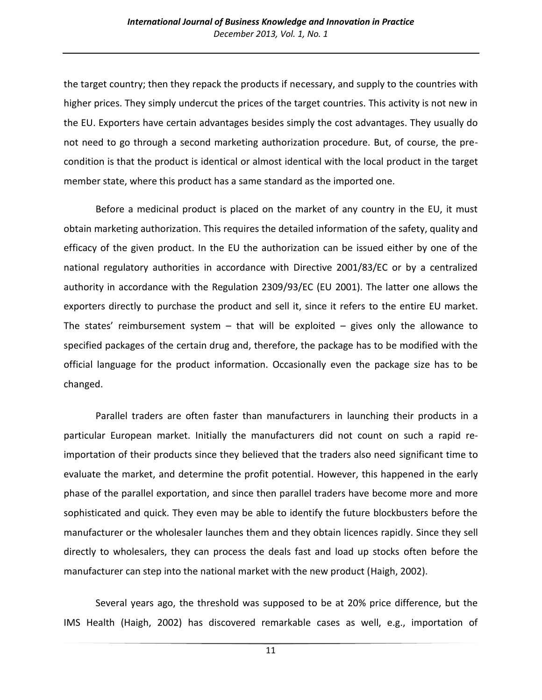the target country; then they repack the products if necessary, and supply to the countries with higher prices. They simply undercut the prices of the target countries. This activity is not new in the EU. Exporters have certain advantages besides simply the cost advantages. They usually do not need to go through a second marketing authorization procedure. But, of course, the precondition is that the product is identical or almost identical with the local product in the target member state, where this product has a same standard as the imported one.

 Before a medicinal product is placed on the market of any country in the EU, it must obtain marketing authorization. This requires the detailed information of the safety, quality and efficacy of the given product. In the EU the authorization can be issued either by one of the national regulatory authorities in accordance with Directive 2001/83/EC or by a centralized authority in accordance with the Regulation 2309/93/EC (EU 2001). The latter one allows the exporters directly to purchase the product and sell it, since it refers to the entire EU market. The states' reimbursement system  $-$  that will be exploited  $-$  gives only the allowance to specified packages of the certain drug and, therefore, the package has to be modified with the official language for the product information. Occasionally even the package size has to be changed.

 Parallel traders are often faster than manufacturers in launching their products in a particular European market. Initially the manufacturers did not count on such a rapid reimportation of their products since they believed that the traders also need significant time to evaluate the market, and determine the profit potential. However, this happened in the early phase of the parallel exportation, and since then parallel traders have become more and more sophisticated and quick. They even may be able to identify the future blockbusters before the manufacturer or the wholesaler launches them and they obtain licences rapidly. Since they sell directly to wholesalers, they can process the deals fast and load up stocks often before the manufacturer can step into the national market with the new product (Haigh, 2002).

 Several years ago, the threshold was supposed to be at 20% price difference, but the IMS Health (Haigh, 2002) has discovered remarkable cases as well, e.g., importation of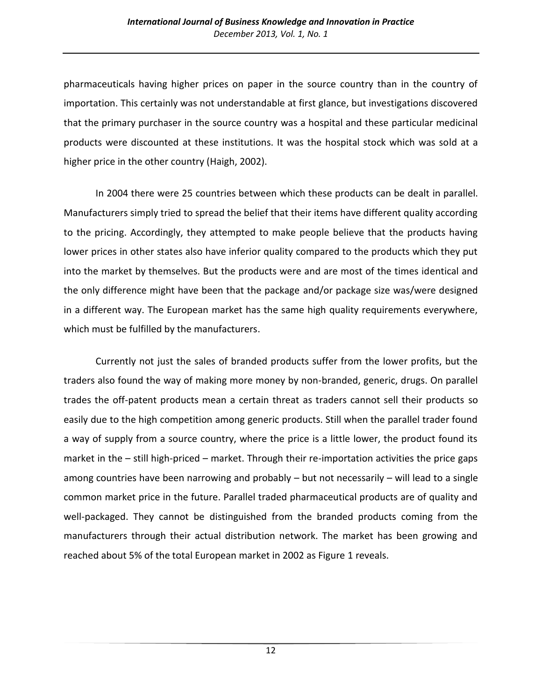pharmaceuticals having higher prices on paper in the source country than in the country of importation. This certainly was not understandable at first glance, but investigations discovered that the primary purchaser in the source country was a hospital and these particular medicinal products were discounted at these institutions. It was the hospital stock which was sold at a higher price in the other country (Haigh, 2002).

 In 2004 there were 25 countries between which these products can be dealt in parallel. Manufacturers simply tried to spread the belief that their items have different quality according to the pricing. Accordingly, they attempted to make people believe that the products having lower prices in other states also have inferior quality compared to the products which they put into the market by themselves. But the products were and are most of the times identical and the only difference might have been that the package and/or package size was/were designed in a different way. The European market has the same high quality requirements everywhere, which must be fulfilled by the manufacturers.

 Currently not just the sales of branded products suffer from the lower profits, but the traders also found the way of making more money by non-branded, generic, drugs. On parallel trades the off-patent products mean a certain threat as traders cannot sell their products so easily due to the high competition among generic products. Still when the parallel trader found a way of supply from a source country, where the price is a little lower, the product found its market in the – still high-priced – market. Through their re-importation activities the price gaps among countries have been narrowing and probably – but not necessarily – will lead to a single common market price in the future. Parallel traded pharmaceutical products are of quality and well-packaged. They cannot be distinguished from the branded products coming from the manufacturers through their actual distribution network. The market has been growing and reached about 5% of the total European market in 2002 as Figure 1 reveals.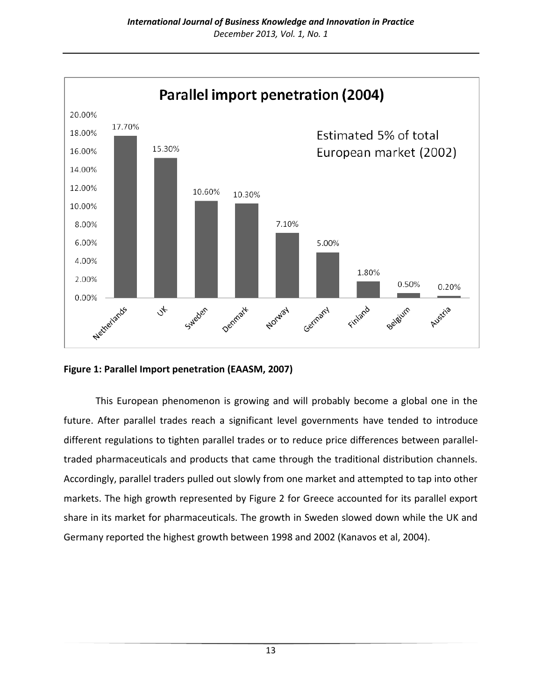

**Figure 1: Parallel Import penetration (EAASM, 2007)**

This European phenomenon is growing and will probably become a global one in the future. After parallel trades reach a significant level governments have tended to introduce different regulations to tighten parallel trades or to reduce price differences between paralleltraded pharmaceuticals and products that came through the traditional distribution channels. Accordingly, parallel traders pulled out slowly from one market and attempted to tap into other markets. The high growth represented by Figure 2 for Greece accounted for its parallel export share in its market for pharmaceuticals. The growth in Sweden slowed down while the UK and Germany reported the highest growth between 1998 and 2002 (Kanavos et al, 2004).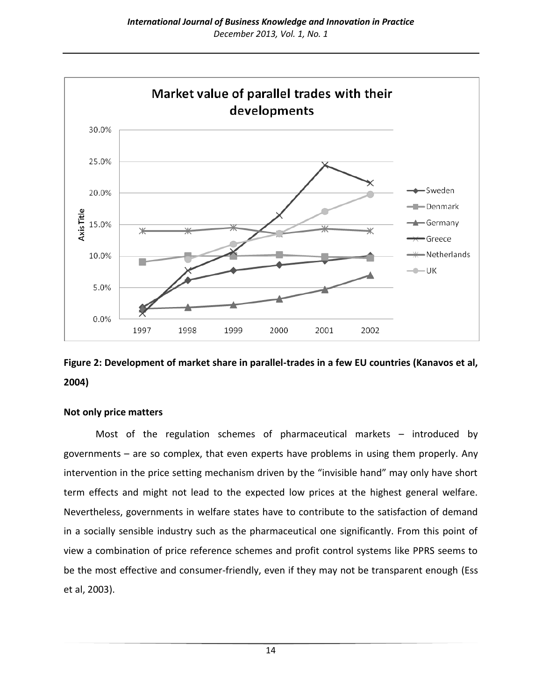

# **Figure 2: Development of market share in parallel-trades in a few EU countries (Kanavos et al, 2004)**

#### **Not only price matters**

Most of the regulation schemes of pharmaceutical markets – introduced by governments – are so complex, that even experts have problems in using them properly. Any intervention in the price setting mechanism driven by the "invisible hand" may only have short term effects and might not lead to the expected low prices at the highest general welfare. Nevertheless, governments in welfare states have to contribute to the satisfaction of demand in a socially sensible industry such as the pharmaceutical one significantly. From this point of view a combination of price reference schemes and profit control systems like PPRS seems to be the most effective and consumer-friendly, even if they may not be transparent enough (Ess et al, 2003).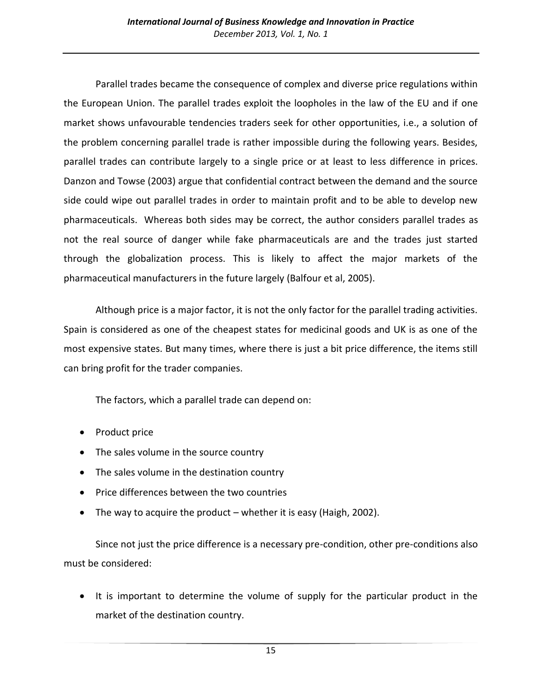Parallel trades became the consequence of complex and diverse price regulations within the European Union. The parallel trades exploit the loopholes in the law of the EU and if one market shows unfavourable tendencies traders seek for other opportunities, i.e., a solution of the problem concerning parallel trade is rather impossible during the following years. Besides, parallel trades can contribute largely to a single price or at least to less difference in prices. Danzon and Towse (2003) argue that confidential contract between the demand and the source side could wipe out parallel trades in order to maintain profit and to be able to develop new pharmaceuticals. Whereas both sides may be correct, the author considers parallel trades as not the real source of danger while fake pharmaceuticals are and the trades just started through the globalization process. This is likely to affect the major markets of the pharmaceutical manufacturers in the future largely (Balfour et al, 2005).

 Although price is a major factor, it is not the only factor for the parallel trading activities. Spain is considered as one of the cheapest states for medicinal goods and UK is as one of the most expensive states. But many times, where there is just a bit price difference, the items still can bring profit for the trader companies.

The factors, which a parallel trade can depend on:

- Product price
- The sales volume in the source country
- The sales volume in the destination country
- Price differences between the two countries
- $\bullet$  The way to acquire the product whether it is easy (Haigh, 2002).

 Since not just the price difference is a necessary pre-condition, other pre-conditions also must be considered:

• It is important to determine the volume of supply for the particular product in the market of the destination country.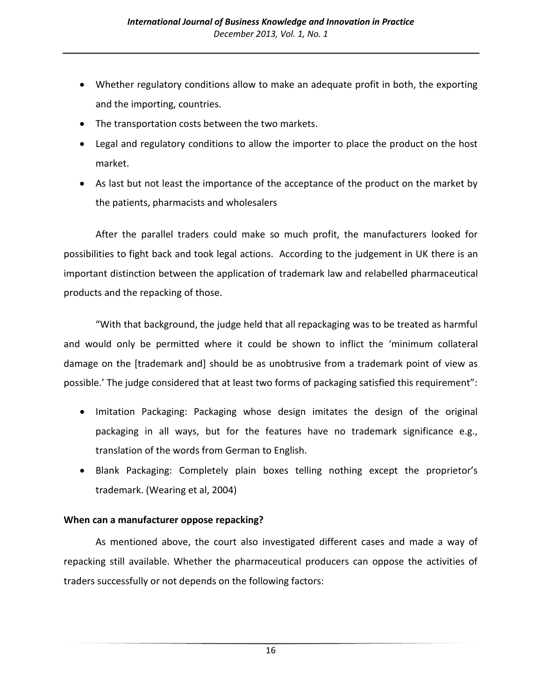- Whether regulatory conditions allow to make an adequate profit in both, the exporting and the importing, countries.
- The transportation costs between the two markets.
- Legal and regulatory conditions to allow the importer to place the product on the host market.
- As last but not least the importance of the acceptance of the product on the market by the patients, pharmacists and wholesalers

 After the parallel traders could make so much profit, the manufacturers looked for possibilities to fight back and took legal actions. According to the judgement in UK there is an important distinction between the application of trademark law and relabelled pharmaceutical products and the repacking of those.

"With that background, the judge held that all repackaging was to be treated as harmful and would only be permitted where it could be shown to inflict the 'minimum collateral damage on the [trademark and] should be as unobtrusive from a trademark point of view as possible.' The judge considered that at least two forms of packaging satisfied this requirement":

- Imitation Packaging: Packaging whose design imitates the design of the original packaging in all ways, but for the features have no trademark significance e.g., translation of the words from German to English.
- Blank Packaging: Completely plain boxes telling nothing except the proprietor's trademark. (Wearing et al, 2004)

### **When can a manufacturer oppose repacking?**

As mentioned above, the court also investigated different cases and made a way of repacking still available. Whether the pharmaceutical producers can oppose the activities of traders successfully or not depends on the following factors: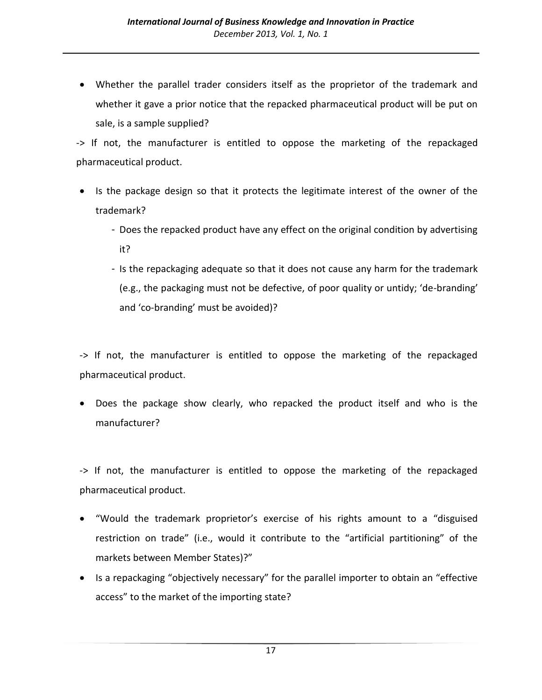Whether the parallel trader considers itself as the proprietor of the trademark and whether it gave a prior notice that the repacked pharmaceutical product will be put on sale, is a sample supplied?

-> If not, the manufacturer is entitled to oppose the marketing of the repackaged pharmaceutical product.

- Is the package design so that it protects the legitimate interest of the owner of the trademark?
	- Does the repacked product have any effect on the original condition by advertising it?
	- Is the repackaging adequate so that it does not cause any harm for the trademark (e.g., the packaging must not be defective, of poor quality or untidy; 'de-branding' and 'co-branding' must be avoided)?

-> If not, the manufacturer is entitled to oppose the marketing of the repackaged pharmaceutical product.

 Does the package show clearly, who repacked the product itself and who is the manufacturer?

-> If not, the manufacturer is entitled to oppose the marketing of the repackaged pharmaceutical product.

- "Would the trademark proprietor's exercise of his rights amount to a "disguised restriction on trade" (i.e., would it contribute to the "artificial partitioning" of the markets between Member States)?"
- Is a repackaging "objectively necessary" for the parallel importer to obtain an "effective access" to the market of the importing state?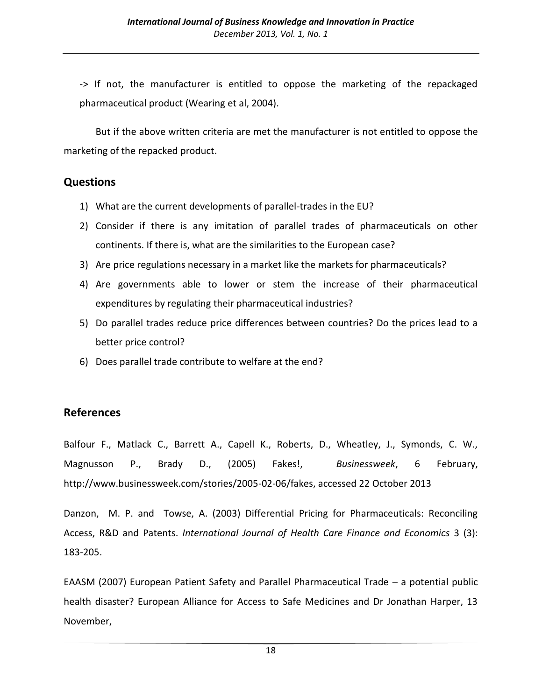-> If not, the manufacturer is entitled to oppose the marketing of the repackaged pharmaceutical product (Wearing et al, 2004).

 But if the above written criteria are met the manufacturer is not entitled to oppose the marketing of the repacked product.

## **Questions**

- 1) What are the current developments of parallel-trades in the EU?
- 2) Consider if there is any imitation of parallel trades of pharmaceuticals on other continents. If there is, what are the similarities to the European case?
- 3) Are price regulations necessary in a market like the markets for pharmaceuticals?
- 4) Are governments able to lower or stem the increase of their pharmaceutical expenditures by regulating their pharmaceutical industries?
- 5) Do parallel trades reduce price differences between countries? Do the prices lead to a better price control?
- 6) Does parallel trade contribute to welfare at the end?

## **References**

Balfour F., Matlack C., Barrett A., Capell K., Roberts, D., Wheatley, J., Symonds, C. W., Magnusson P., Brady D., (2005) Fakes!, *Businessweek*, 6 February, http://www.businessweek.com/stories/2005-02-06/fakes, accessed 22 October 2013

Danzon, M. P. and Towse, A. (2003) Differential Pricing for Pharmaceuticals: Reconciling Access, R&D and Patents. *International Journal of Health Care Finance and Economics* 3 (3): 183-205.

EAASM (2007) European Patient Safety and Parallel Pharmaceutical Trade – a potential public health disaster? European Alliance for Access to Safe Medicines and Dr Jonathan Harper, 13 November,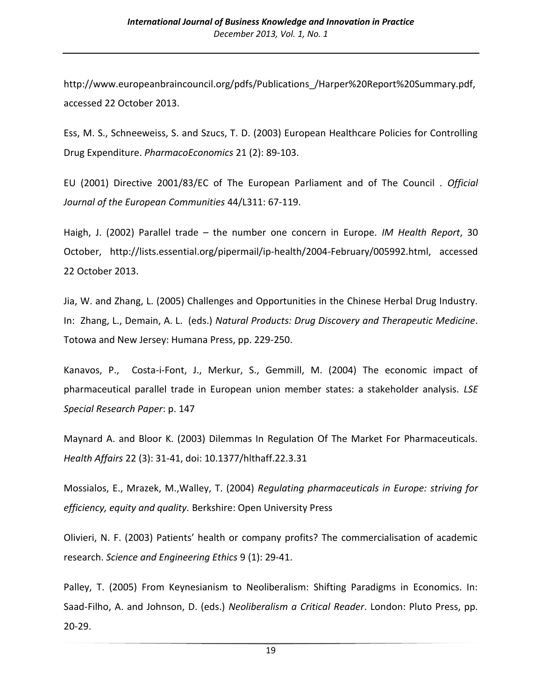http://www.europeanbraincouncil.org/pdfs/Publications\_/Harper%20Report%20Summary.pdf, accessed 22 October 2013.

Ess, M. S., Schneeweiss, S. and Szucs, T. D. (2003) European Healthcare Policies for Controlling Drug Expenditure. *PharmacoEconomics* 21 (2): 89-103.

EU (2001) Directive 2001/83/EC of The European Parliament and of The Council . *Official Journal of the European Communities* 44/L311: 67-119.

Haigh, J. (2002) Parallel trade – the number one concern in Europe. *IM Health Report*, 30 October, http://lists.essential.org/pipermail/ip-health/2004-February/005992.html, accessed 22 October 2013.

Jia, W. and Zhang, L. (2005) Challenges and Opportunities in the Chinese Herbal Drug Industry. In: Zhang, L., Demain, A. L. (eds.) *Natural Products: Drug Discovery and Therapeutic Medicine*. Totowa and New Jersey: Humana Press, pp. 229-250.

Kanavos, P., Costa-i-Font, J., Merkur, S., Gemmill, M. (2004) The economic impact of pharmaceutical parallel trade in European union member states: a stakeholder analysis. *LSE Special Research Paper*: p. 147

Maynard A. and Bloor K. (2003) Dilemmas In Regulation Of The Market For Pharmaceuticals. *Health Affairs* 22 (3): 31-41, doi: 10.1377/hlthaff.22.3.31

Mossialos, E., Mrazek, M.,Walley, T. (2004) *Regulating pharmaceuticals in Europe: striving for efficiency, equity and quality.* Berkshire: Open University Press

Olivieri, N. F. (2003) Patients' health or company profits? The commercialisation of academic research. *Science and Engineering Ethics* 9 (1): 29-41.

Palley, T. (2005) From Keynesianism to Neoliberalism: Shifting Paradigms in Economics. In: Saad-Filho, A. and Johnson, D. (eds.) *Neoliberalism a Critical Reader*. London: Pluto Press, pp. 20-29.